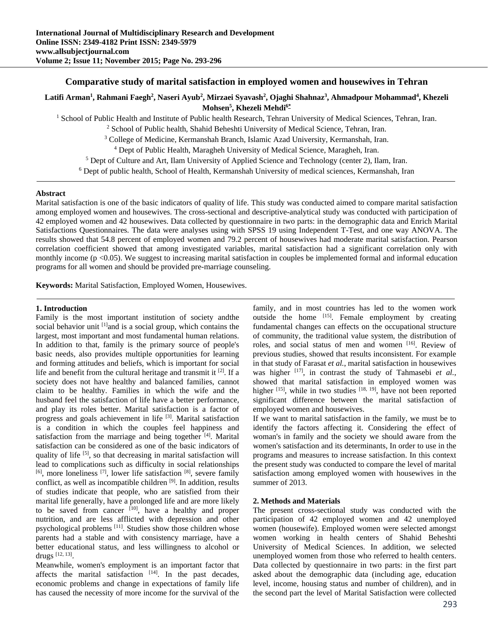# **Comparative study of marital satisfaction in employed women and housewives in Tehran**

# **Latifi Arman1 , Rahmani Faegh2 , Naseri Ayub2 , Mirzaei Syavash2 , Ojaghi Shahnaz3 , Ahmadpour Mohammad4 , Khezeli Mohsen5 , Khezeli Mehdi6\***

<sup>1</sup> School of Public Health and Institute of Public health Research, Tehran University of Medical Sciences, Tehran, Iran.<br><sup>2</sup> School of Public health, Shahid Beheshti University of Medical Science, Tehran, Iran.

<sup>2</sup> School of Public health, Shahid Beheshti University of Medical Science, Tehran, Iran.

<sup>3</sup> College of Medicine, Kermanshah Branch, Islamic Azad University, Kermanshah, Iran.

<sup>4</sup> Dept of Public Health, Maragheh University of Medical Science, Maragheh, Iran.

<sup>5</sup> Dept of Culture and Art, Ilam University of Applied Science and Technology (center 2), Ilam, Iran.

Dept of public health, School of Health, Kermanshah University of medical sciences, Kermanshah, Iran

### **Abstract**

Marital satisfaction is one of the basic indicators of quality of life. This study was conducted aimed to compare marital satisfaction among employed women and housewives. The cross-sectional and descriptive-analytical study was conducted with participation of 42 employed women and 42 housewives. Data collected by questionnaire in two parts: in the demographic data and Enrich Marital Satisfactions Questionnaires. The data were analyses using with SPSS 19 using Independent T-Test, and one way ANOVA. The results showed that 54.8 percent of employed women and 79.2 percent of housewives had moderate marital satisfaction. Pearson correlation coefficient showed that among investigated variables, marital satisfaction had a significant correlation only with monthly income  $(p \le 0.05)$ . We suggest to increasing marital satisfaction in couples be implemented formal and informal education programs for all women and should be provided pre-marriage counseling.

**Keywords:** Marital Satisfaction, Employed Women, Housewives.

#### **1. Introduction**

Family is the most important institution of society andthe social behavior unit <sup>[1]</sup>and is a social group, which contains the largest, most important and most fundamental human relations. In addition to that, family is the primary source of people's basic needs, also provides multiple opportunities for learning and forming attitudes and beliefs, which is important for social life and benefit from the cultural heritage and transmit it  $[2]$ . If a society does not have healthy and balanced families, cannot claim to be healthy. Families in which the wife and the husband feel the satisfaction of life have a better performance, and play its roles better. Marital satisfaction is a factor of progress and goals achievement in life [3]. Marital satisfaction is a condition in which the couples feel happiness and satisfaction from the marriage and being together  $[4]$ . Marital satisfaction can be considered as one of the basic indicators of quality of life <sup>[5]</sup>, so that decreasing in marital satisfaction will lead to complications such as difficulty in social relationships  $[6]$ , more loneliness  $[7]$ , lower life satisfaction  $[8]$ , severe family conflict, as well as incompatible children  $[9]$ . In addition, results of studies indicate that people, who are satisfied from their marital life generally, have a prolonged life and are more likely to be saved from cancer  $\left[10\right]$ , have a healthy and proper nutrition, and are less afflicted with depression and other psychological problems [11]. Studies show those children whose parents had a stable and with consistency marriage, have a better educational status, and less willingness to alcohol or drugs [12, 13].

Meanwhile, women's employment is an important factor that affects the marital satisfaction  $[14]$ . In the past decades, economic problems and change in expectations of family life has caused the necessity of more income for the survival of the

family, and in most countries has led to the women work outside the home [15]. Female employment by creating fundamental changes can effects on the occupational structure of community, the traditional value system, the distribution of roles, and social status of men and women [16]. Review of previous studies, showed that results inconsistent. For example in that study of Farasat *et al.*, marital satisfaction in housewives was higher <sup>[17]</sup>, in contrast the study of Tahmasebi *et al.*, showed that marital satisfaction in employed women was higher  $[15]$ , while in two studies  $[18, 19]$ , have not been reported significant difference between the marital satisfaction of employed women and housewives.

If we want to marital satisfaction in the family, we must be to identify the factors affecting it. Considering the effect of woman's in family and the society we should aware from the women's satisfaction and its determinants, In order to use in the programs and measures to increase satisfaction. In this context the present study was conducted to compare the level of marital satisfaction among employed women with housewives in the summer of 2013.

#### **2. Methods and Materials**

The present cross-sectional study was conducted with the participation of 42 employed women and 42 unemployed women (housewife). Employed women were selected amongst women working in health centers of Shahid Beheshti University of Medical Sciences. In addition, we selected unemployed women from those who referred to health centers. Data collected by questionnaire in two parts: in the first part asked about the demographic data (including age, education level, income, housing status and number of children), and in the second part the level of Marital Satisfaction were collected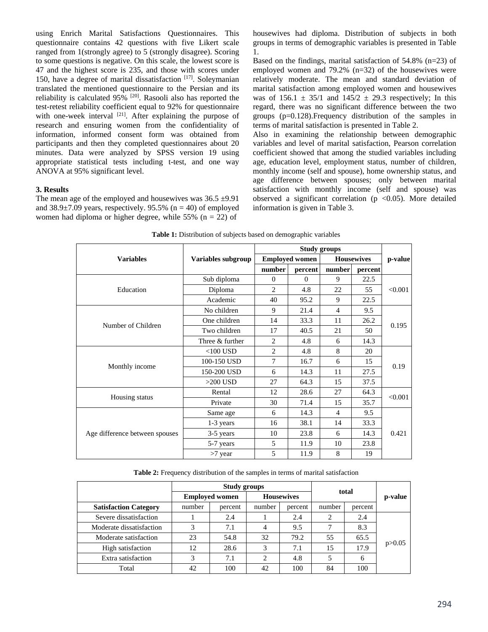using Enrich Marital Satisfactions Questionnaires. This questionnaire contains 42 questions with five Likert scale ranged from 1(strongly agree) to 5 (strongly disagree). Scoring to some questions is negative. On this scale, the lowest score is 47 and the highest score is 235, and those with scores under 150, have a degree of marital dissatisfaction  $[17]$ . Soleymanian translated the mentioned questionnaire to the Persian and its reliability is calculated 95% <sup>[20]</sup>. Rasooli also has reported the test-retest reliability coefficient equal to 92% for questionnaire with one-week interval  $[21]$ . After explaining the purpose of research and ensuring women from the confidentiality of information, informed consent form was obtained from participants and then they completed questionnaires about 20 minutes. Data were analyzed by SPSS version 19 using appropriate statistical tests including t-test, and one way ANOVA at 95% significant level.

## **3. Results**

The mean age of the employed and housewives was  $36.5 \pm 9.91$ and  $38.9\pm7.09$  years, respectively. 95.5% (n = 40) of employed women had diploma or higher degree, while  $55\%$  (n = 22) of

housewives had diploma. Distribution of subjects in both groups in terms of demographic variables is presented in Table 1.

Based on the findings, marital satisfaction of 54.8% (n=23) of employed women and 79.2% (n=32) of the housewives were relatively moderate. The mean and standard deviation of marital satisfaction among employed women and housewives was of  $156.1 \pm 35/1$  and  $145/2 \pm 29.3$  respectively; In this regard, there was no significant difference between the two groups (p=0.128).Frequency distribution of the samples in terms of marital satisfaction is presented in Table 2.

Also in examining the relationship between demographic variables and level of marital satisfaction, Pearson correlation coefficient showed that among the studied variables including age, education level, employment status, number of children, monthly income (self and spouse), home ownership status, and age difference between spouses; only between marital satisfaction with monthly income (self and spouse) was observed a significant correlation ( $p < 0.05$ ). More detailed information is given in Table 3.

|                                |                    | <b>Study groups</b>   |          |                   |         |         |  |
|--------------------------------|--------------------|-----------------------|----------|-------------------|---------|---------|--|
| <b>Variables</b>               | Variables subgroup | <b>Employed women</b> |          | <b>Housewives</b> |         | p-value |  |
|                                |                    | number                | percent  | number            | percent |         |  |
| Education                      | Sub diploma        | $\Omega$              | $\Omega$ | 9                 | 22.5    | < 0.001 |  |
|                                | Diploma            | $\overline{2}$        | 4.8      | 22                | 55      |         |  |
|                                | Academic           | 40                    | 95.2     | 9                 | 22.5    |         |  |
| Number of Children             | No children        | 9                     | 21.4     | $\overline{4}$    | 9.5     |         |  |
|                                | One children       | 14                    | 33.3     | 11                | 26.2    | 0.195   |  |
|                                | Two children       | 17                    | 40.5     | 21                | 50      |         |  |
|                                | Three & further    | 2                     | 4.8      | 6                 | 14.3    |         |  |
| Monthly income                 | $<$ 100 USD        | $\overline{c}$        | 4.8      | 8                 | 20      |         |  |
|                                | 100-150 USD        | 7                     | 16.7     | 6                 | 15      | 0.19    |  |
|                                | 150-200 USD        | 6                     | 14.3     | 11                | 27.5    |         |  |
|                                | $>200$ USD         | 27                    | 64.3     | 15                | 37.5    |         |  |
| Housing status                 | Rental             | 12                    | 28.6     | 27                | 64.3    | < 0.001 |  |
|                                | Private            | 30                    | 71.4     | 15                | 35.7    |         |  |
| Age difference between spouses | Same age           | 6                     | 14.3     | $\overline{4}$    | 9.5     |         |  |
|                                | 1-3 years          | 16                    | 38.1     | 14                | 33.3    |         |  |
|                                | 3-5 years          | 10                    | 23.8     | 6                 | 14.3    | 0.421   |  |
|                                | 5-7 years          | 5                     | 11.9     | 10                | 23.8    |         |  |
|                                | $>7$ year          | 5                     | 11.9     | 8                 | 19      |         |  |

**Table 1:** Distribution of subjects based on demographic variables

**Table 2:** Frequency distribution of the samples in terms of marital satisfaction

|                              | <b>Study groups</b>                        |         |        |         |        |         |          |
|------------------------------|--------------------------------------------|---------|--------|---------|--------|---------|----------|
|                              | <b>Housewives</b><br><b>Employed women</b> |         |        | total   |        | p-value |          |
| <b>Satisfaction Category</b> | number                                     | percent | number | percent | number | percent |          |
| Severe dissatisfaction       |                                            | 2.4     |        | 2.4     | 2      | 2.4     |          |
| Moderate dissatisfaction     | 3                                          | 7.1     | 4      | 9.5     | ┑      | 8.3     |          |
| Moderate satisfaction        | 23                                         | 54.8    | 32     | 79.2    | 55     | 65.5    |          |
| High satisfaction            | 12                                         | 28.6    | 3      | 7.1     | 15     | 17.9    | p > 0.05 |
| Extra satisfaction           | 3                                          | 7.1     | 2      | 4.8     |        | 6       |          |
| Total                        | 42                                         | 100     | 42     | 100     | 84     | 100     |          |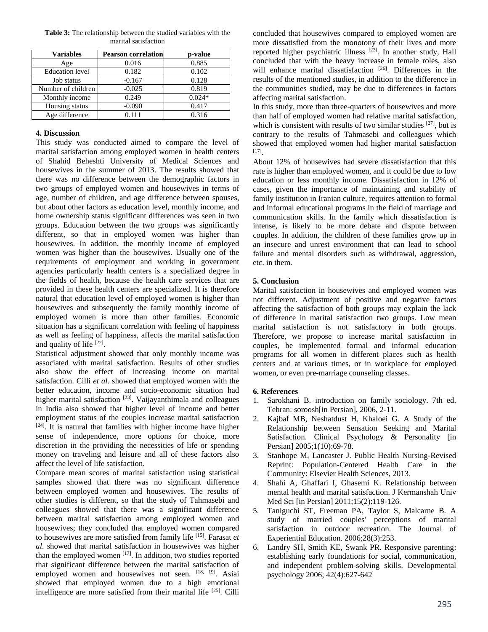| <b>Variables</b>       | <b>Pearson correlation</b> | p-value  |
|------------------------|----------------------------|----------|
| Age                    | 0.016                      | 0.885    |
| <b>Education</b> level | 0.182                      | 0.102    |
| Job status             | $-0.167$                   | 0.128    |
| Number of children     | $-0.025$                   | 0.819    |
| Monthly income         | 0.249                      | $0.024*$ |
| Housing status         | $-0.090$                   | 0.417    |
| Age difference         | 0111                       | 0.316    |

**Table 3:** The relationship between the studied variables with the marital satisfaction

## **4. Discussion**

This study was conducted aimed to compare the level of marital satisfaction among employed women in health centers of Shahid Beheshti University of Medical Sciences and housewives in the summer of 2013. The results showed that there was no difference between the demographic factors in two groups of employed women and housewives in terms of age, number of children, and age difference between spouses, but about other factors as education level, monthly income, and home ownership status significant differences was seen in two groups. Education between the two groups was significantly different, so that in employed women was higher than housewives. In addition, the monthly income of employed women was higher than the housewives. Usually one of the requirements of employment and working in government agencies particularly health centers is a specialized degree in the fields of health, because the health care services that are provided in these health centers are specialized. It is therefore natural that education level of employed women is higher than housewives and subsequently the family monthly income of employed women is more than other families. Economic situation has a significant correlation with feeling of happiness as well as feeling of happiness, affects the marital satisfaction and quality of life  $[22]$ .

Statistical adjustment showed that only monthly income was associated with marital satisfaction. Results of other studies also show the effect of increasing income on marital satisfaction. Cilli *et al*. showed that employed women with the better education, income and socio-economic situation had higher marital satisfaction <sup>[23]</sup>. Vaijayanthimala and colleagues in India also showed that higher level of income and better employment status of the couples increase marital satisfaction  $[24]$ . It is natural that families with higher income have higher sense of independence, more options for choice, more discretion in the providing the necessities of life or spending money on traveling and leisure and all of these factors also affect the level of life satisfaction.

Compare mean scores of marital satisfaction using statistical samples showed that there was no significant difference between employed women and housewives. The results of other studies is different, so that the study of Tahmasebi and colleagues showed that there was a significant difference between marital satisfaction among employed women and housewives; they concluded that employed women compared to housewives are more satisfied from family life [15]. Farasat *et al*. showed that marital satisfaction in housewives was higher than the employed women  $[17]$ . In addition, two studies reported that significant difference between the marital satisfaction of employed women and housewives not seen. <a>[18, 19]</a>. Asiai showed that employed women due to a high emotional intelligence are more satisfied from their marital life [25]. Cilli

concluded that housewives compared to employed women are more dissatisfied from the monotony of their lives and more reported higher psychiatric illness [23]. In another study, Hall concluded that with the heavy increase in female roles, also will enhance marital dissatisfaction [26]. Differences in the results of the mentioned studies, in addition to the difference in the communities studied, may be due to differences in factors affecting marital satisfaction.

In this study, more than three-quarters of housewives and more than half of employed women had relative marital satisfaction, which is consistent with results of two similar studies  $[27]$ , but is contrary to the results of Tahmasebi and colleagues which showed that employed women had higher marital satisfaction [17].

About 12% of housewives had severe dissatisfaction that this rate is higher than employed women, and it could be due to low education or less monthly income. Dissatisfaction in 12% of cases, given the importance of maintaining and stability of family institution in Iranian culture, requires attention to formal and informal educational programs in the field of marriage and communication skills. In the family which dissatisfaction is intense, is likely to be more debate and dispute between couples. In addition, the children of these families grow up in an insecure and unrest environment that can lead to school failure and mental disorders such as withdrawal, aggression, etc. in them.

# **5. Conclusion**

Marital satisfaction in housewives and employed women was not different. Adjustment of positive and negative factors affecting the satisfaction of both groups may explain the lack of difference in marital satisfaction two groups. Low mean marital satisfaction is not satisfactory in both groups. Therefore, we propose to increase marital satisfaction in couples, be implemented formal and informal education programs for all women in different places such as health centers and at various times, or in workplace for employed women, or even pre-marriage counseling classes.

### **6. References**

- 1. Sarokhani B. introduction on family sociology. 7th ed. Tehran: soroosh[in Persian], 2006, 2-11.
- 2. Kajbaf MB, Neshatdust H, Khaloei G. A Study of the Relationship between Sensation Seeking and Marital Satisfaction. Clinical Psychology & Personality [in Persian] 2005;1(10):69-78.
- 3. Stanhope M, Lancaster J. Public Health Nursing-Revised Reprint: Population-Centered Health Care in the Community: Elsevier Health Sciences, 2013.
- 4. Shahi A, Ghaffari I, Ghasemi K. Relationship between mental health and marital satisfaction. J Kermanshah Univ Med Sci [in Persian] 2011;15(2):119-126.
- 5. Taniguchi ST, Freeman PA, Taylor S, Malcarne B. A study of married couples' perceptions of marital satisfaction in outdoor recreation. The Journal of Experiential Education. 2006;28(3):253.
- 6. Landry SH, Smith KE, Swank PR. Responsive parenting: establishing early foundations for social, communication, and independent problem-solving skills. Developmental psychology 2006; 42(4):627-642